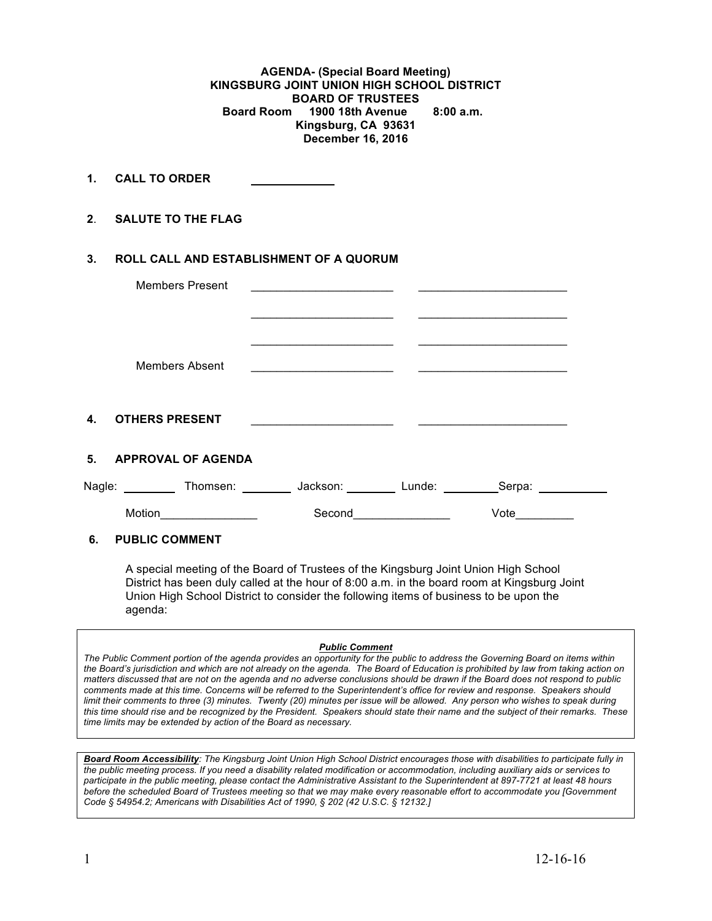**AGENDA- (Special Board Meeting) KINGSBURG JOINT UNION HIGH SCHOOL DISTRICT BOARD OF TRUSTEES Board Room 1900 18th Avenue 8:00 a.m. Kingsburg, CA 93631 December 16, 2016**

**1. CALL TO ORDER** 

**2**. **SALUTE TO THE FLAG**

### **3. ROLL CALL AND ESTABLISHMENT OF A QUORUM**

|                | <b>Members Present</b>    |          |        |        |  |
|----------------|---------------------------|----------|--------|--------|--|
|                | <b>Members Absent</b>     |          |        |        |  |
| $\mathbf{4}$   | <b>OTHERS PRESENT</b>     |          |        |        |  |
| 5 <sub>1</sub> | <b>APPROVAL OF AGENDA</b> |          |        |        |  |
| Nagle:         | Thomsen:                  | Jackson: | Lunde: | Serpa: |  |
|                | Motion                    | Second   |        | Vote   |  |

### **6. PUBLIC COMMENT**

A special meeting of the Board of Trustees of the Kingsburg Joint Union High School District has been duly called at the hour of 8:00 a.m. in the board room at Kingsburg Joint Union High School District to consider the following items of business to be upon the agenda:

#### *Public Comment*

*The Public Comment portion of the agenda provides an opportunity for the public to address the Governing Board on items within the Board's jurisdiction and which are not already on the agenda. The Board of Education is prohibited by law from taking action on matters discussed that are not on the agenda and no adverse conclusions should be drawn if the Board does not respond to public comments made at this time. Concerns will be referred to the Superintendent's office for review and response. Speakers should limit their comments to three (3) minutes. Twenty (20) minutes per issue will be allowed. Any person who wishes to speak during this time should rise and be recognized by the President. Speakers should state their name and the subject of their remarks. These time limits may be extended by action of the Board as necessary.*

*Board Room Accessibility: The Kingsburg Joint Union High School District encourages those with disabilities to participate fully in the public meeting process. If you need a disability related modification or accommodation, including auxiliary aids or services to participate in the public meeting, please contact the Administrative Assistant to the Superintendent at 897-7721 at least 48 hours before the scheduled Board of Trustees meeting so that we may make every reasonable effort to accommodate you [Government Code § 54954.2; Americans with Disabilities Act of 1990, § 202 (42 U.S.C. § 12132.]*